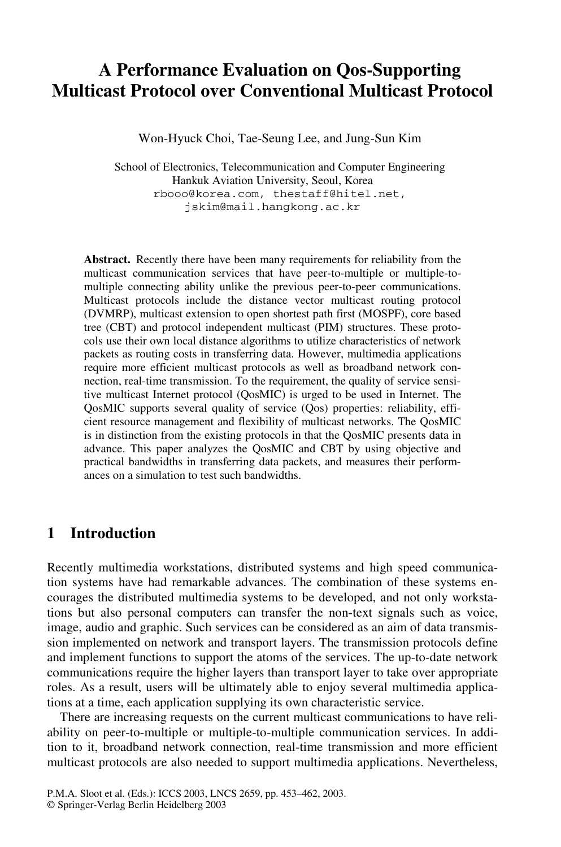# **A Performance Evaluation on Qos-Supporting Multicast Protocol over Conventional Multicast Protocol**

Won-Hyuck Choi, Tae-Seung Lee, and Jung-Sun Kim

School of Electronics, Telecommunication and Computer Engineering Hankuk Aviation University, Seoul, Korea rbooo@korea.com, thestaff@hitel.net, jskim@mail.hangkong.ac.kr

**Abstract.** Recently there have been many requirements for reliability from the multicast communication services that have peer-to-multiple or multiple-tomultiple connecting ability unlike the previous peer-to-peer communications. Multicast protocols include the distance vector multicast routing protocol (DVMRP), multicast extension to open shortest path first (MOSPF), core based tree (CBT) and protocol independent multicast (PIM) structures. These protocols use their own local distance algorithms to utilize characteristics of network packets as routing costs in transferring data. However, multimedia applications require more efficient multicast protocols as well as broadband network connection, real-time transmission. To the requirement, the quality of service sensitive multicast Internet protocol (QosMIC) is urged to be used in Internet. The QosMIC supports several quality of service (Qos) properties: reliability, efficient resource management and flexibility of multicast networks. The QosMIC is in distinction from the existing protocols in that the QosMIC presents data in advance. This paper analyzes the QosMIC and CBT by using objective and practical bandwidths in transferring data packets, and measures their performances on a simulation to test such bandwidths.

### **1 Introduction**

Recently multimedia workstations, distributed systems and high speed communication systems have had remarkable advances. The combination of these systems encourages the distributed multimedia systems to be developed, and not only workstations but also personal computers can transfer the non-text signals such as voice, image, audio and graphic. Such services can be considered as an aim of data transmission implemented on network and transport layers. The transmission protocols define and implement functions to support the atoms of the services. The up-to-date network communications require the higher layers than transport layer to take over appropriate roles. As a result, users will be ultimately able to enjoy several multimedia applications at a time, each application supplying its own characteristic service.

There are increasing requests on the current multicast communications to have reliability on peer-to-multiple or multiple-to-multiple communication services. In addition to it, broadband network connection, real-time transmission and more efficient multicast protocols are also needed to support multimedia applications. Nevertheless,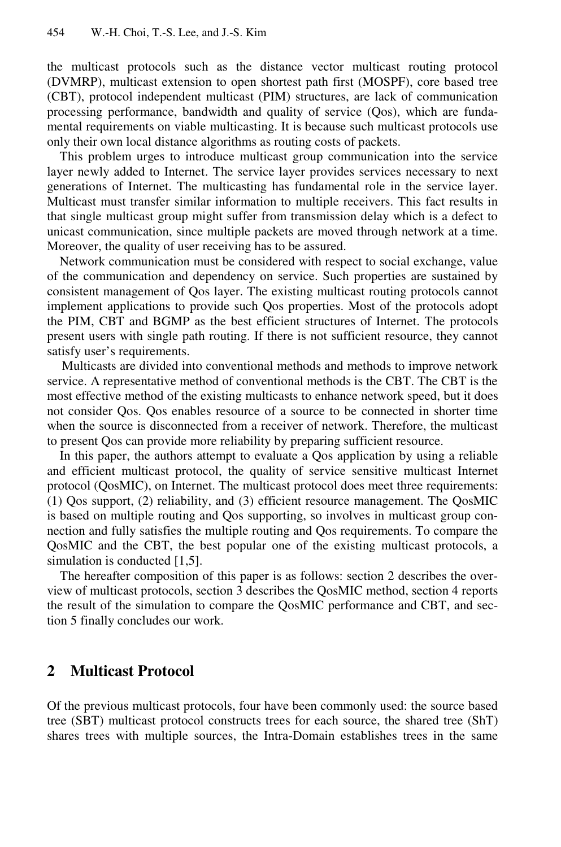the multicast protocols such as the distance vector multicast routing protocol (DVMRP), multicast extension to open shortest path first (MOSPF), core based tree (CBT), protocol independent multicast (PIM) structures, are lack of communication processing performance, bandwidth and quality of service (Qos), which are fundamental requirements on viable multicasting. It is because such multicast protocols use only their own local distance algorithms as routing costs of packets.

This problem urges to introduce multicast group communication into the service layer newly added to Internet. The service layer provides services necessary to next generations of Internet. The multicasting has fundamental role in the service layer. Multicast must transfer similar information to multiple receivers. This fact results in that single multicast group might suffer from transmission delay which is a defect to unicast communication, since multiple packets are moved through network at a time. Moreover, the quality of user receiving has to be assured.

Network communication must be considered with respect to social exchange, value of the communication and dependency on service. Such properties are sustained by consistent management of Qos layer. The existing multicast routing protocols cannot implement applications to provide such Qos properties. Most of the protocols adopt the PIM, CBT and BGMP as the best efficient structures of Internet. The protocols present users with single path routing. If there is not sufficient resource, they cannot satisfy user's requirements.

Multicasts are divided into conventional methods and methods to improve network service. A representative method of conventional methods is the CBT. The CBT is the most effective method of the existing multicasts to enhance network speed, but it does not consider Qos. Qos enables resource of a source to be connected in shorter time when the source is disconnected from a receiver of network. Therefore, the multicast to present Qos can provide more reliability by preparing sufficient resource.

In this paper, the authors attempt to evaluate a Qos application by using a reliable and efficient multicast protocol, the quality of service sensitive multicast Internet protocol (QosMIC), on Internet. The multicast protocol does meet three requirements: (1) Qos support, (2) reliability, and (3) efficient resource management. The QosMIC is based on multiple routing and Qos supporting, so involves in multicast group connection and fully satisfies the multiple routing and Qos requirements. To compare the QosMIC and the CBT, the best popular one of the existing multicast protocols, a simulation is conducted [1,5].

The hereafter composition of this paper is as follows: section 2 describes the overview of multicast protocols, section 3 describes the QosMIC method, section 4 reports the result of the simulation to compare the QosMIC performance and CBT, and section 5 finally concludes our work.

## **2 Multicast Protocol**

Of the previous multicast protocols, four have been commonly used: the source based tree (SBT) multicast protocol constructs trees for each source, the shared tree (ShT) shares trees with multiple sources, the Intra-Domain establishes trees in the same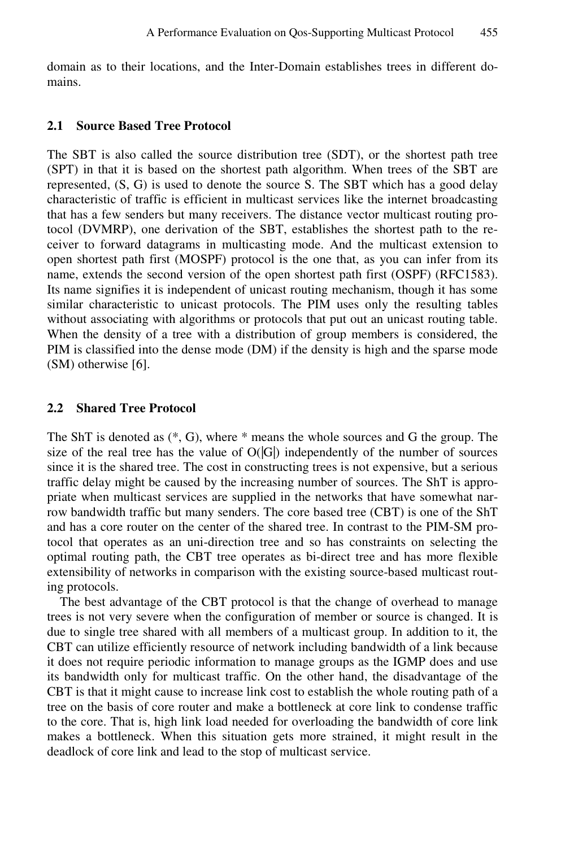domain as to their locations, and the Inter-Domain establishes trees in different domains.

#### **2.1 Source Based Tree Protocol**

The SBT is also called the source distribution tree (SDT), or the shortest path tree (SPT) in that it is based on the shortest path algorithm. When trees of the SBT are represented, (S, G) is used to denote the source S. The SBT which has a good delay characteristic of traffic is efficient in multicast services like the internet broadcasting that has a few senders but many receivers. The distance vector multicast routing protocol (DVMRP), one derivation of the SBT, establishes the shortest path to the receiver to forward datagrams in multicasting mode. And the multicast extension to open shortest path first (MOSPF) protocol is the one that, as you can infer from its name, extends the second version of the open shortest path first (OSPF) (RFC1583). Its name signifies it is independent of unicast routing mechanism, though it has some similar characteristic to unicast protocols. The PIM uses only the resulting tables without associating with algorithms or protocols that put out an unicast routing table. When the density of a tree with a distribution of group members is considered, the PIM is classified into the dense mode (DM) if the density is high and the sparse mode (SM) otherwise [6].

#### **2.2 Shared Tree Protocol**

The ShT is denoted as (\*, G), where \* means the whole sources and G the group. The size of the real tree has the value of  $O(|G|)$  independently of the number of sources since it is the shared tree. The cost in constructing trees is not expensive, but a serious traffic delay might be caused by the increasing number of sources. The ShT is appropriate when multicast services are supplied in the networks that have somewhat narrow bandwidth traffic but many senders. The core based tree (CBT) is one of the ShT and has a core router on the center of the shared tree. In contrast to the PIM-SM protocol that operates as an uni-direction tree and so has constraints on selecting the optimal routing path, the CBT tree operates as bi-direct tree and has more flexible extensibility of networks in comparison with the existing source-based multicast routing protocols.

The best advantage of the CBT protocol is that the change of overhead to manage trees is not very severe when the configuration of member or source is changed. It is due to single tree shared with all members of a multicast group. In addition to it, the CBT can utilize efficiently resource of network including bandwidth of a link because it does not require periodic information to manage groups as the IGMP does and use its bandwidth only for multicast traffic. On the other hand, the disadvantage of the CBT is that it might cause to increase link cost to establish the whole routing path of a tree on the basis of core router and make a bottleneck at core link to condense traffic to the core. That is, high link load needed for overloading the bandwidth of core link makes a bottleneck. When this situation gets more strained, it might result in the deadlock of core link and lead to the stop of multicast service.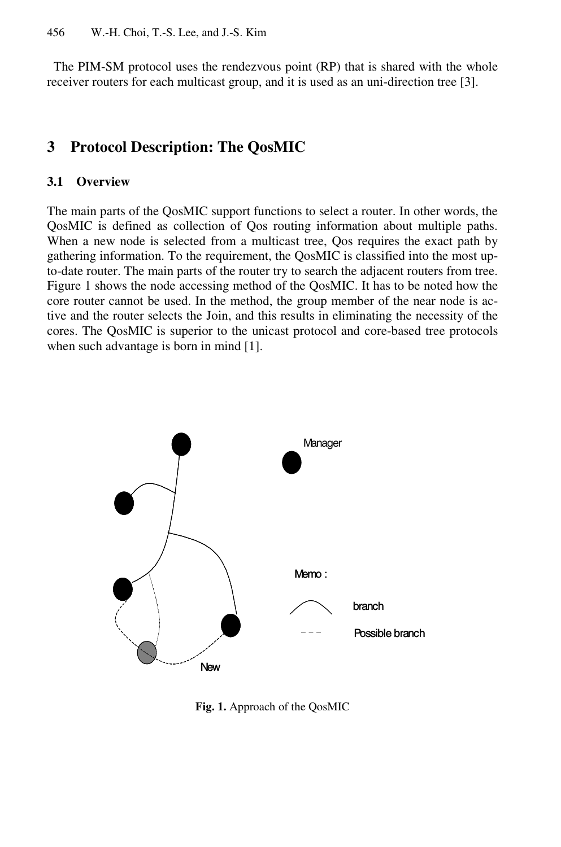The PIM-SM protocol uses the rendezvous point (RP) that is shared with the whole receiver routers for each multicast group, and it is used as an uni-direction tree [3].

## **3 Protocol Description: The QosMIC**

#### **3.1 Overview**

The main parts of the QosMIC support functions to select a router. In other words, the QosMIC is defined as collection of Qos routing information about multiple paths. When a new node is selected from a multicast tree, Qos requires the exact path by gathering information. To the requirement, the QosMIC is classified into the most upto-date router. The main parts of the router try to search the adjacent routers from tree. Figure 1 shows the node accessing method of the QosMIC. It has to be noted how the core router cannot be used. In the method, the group member of the near node is active and the router selects the Join, and this results in eliminating the necessity of the cores. The QosMIC is superior to the unicast protocol and core-based tree protocols when such advantage is born in mind [1].



**Fig. 1.** Approach of the QosMIC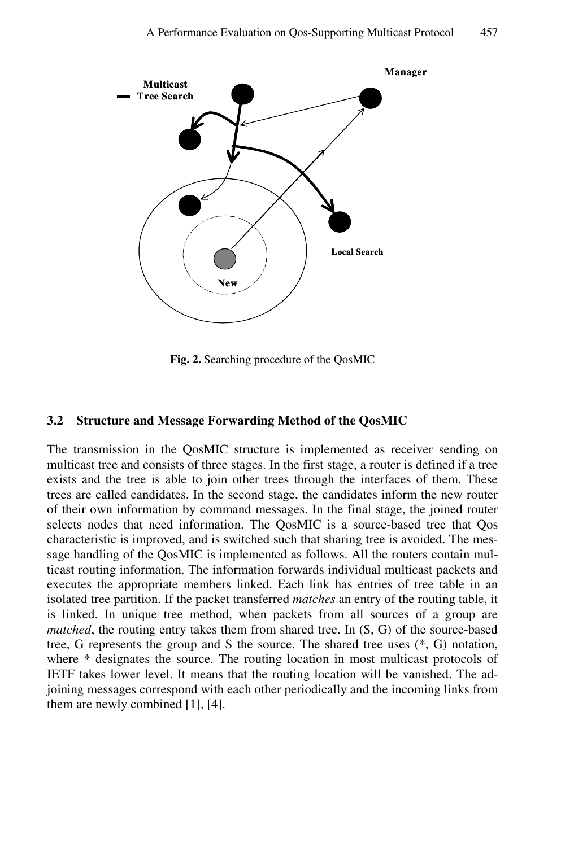

**Fig. 2.** Searching procedure of the QosMIC

#### **3.2 Structure and Message Forwarding Method of the QosMIC**

The transmission in the QosMIC structure is implemented as receiver sending on multicast tree and consists of three stages. In the first stage, a router is defined if a tree exists and the tree is able to join other trees through the interfaces of them. These trees are called candidates. In the second stage, the candidates inform the new router of their own information by command messages. In the final stage, the joined router selects nodes that need information. The QosMIC is a source-based tree that Qos characteristic is improved, and is switched such that sharing tree is avoided. The message handling of the QosMIC is implemented as follows. All the routers contain multicast routing information. The information forwards individual multicast packets and executes the appropriate members linked. Each link has entries of tree table in an isolated tree partition. If the packet transferred *matches* an entry of the routing table, it is linked. In unique tree method, when packets from all sources of a group are *matched*, the routing entry takes them from shared tree. In (S, G) of the source-based tree, G represents the group and S the source. The shared tree uses (\*, G) notation, where  $*$  designates the source. The routing location in most multicast protocols of IETF takes lower level. It means that the routing location will be vanished. The adjoining messages correspond with each other periodically and the incoming links from them are newly combined [1], [4].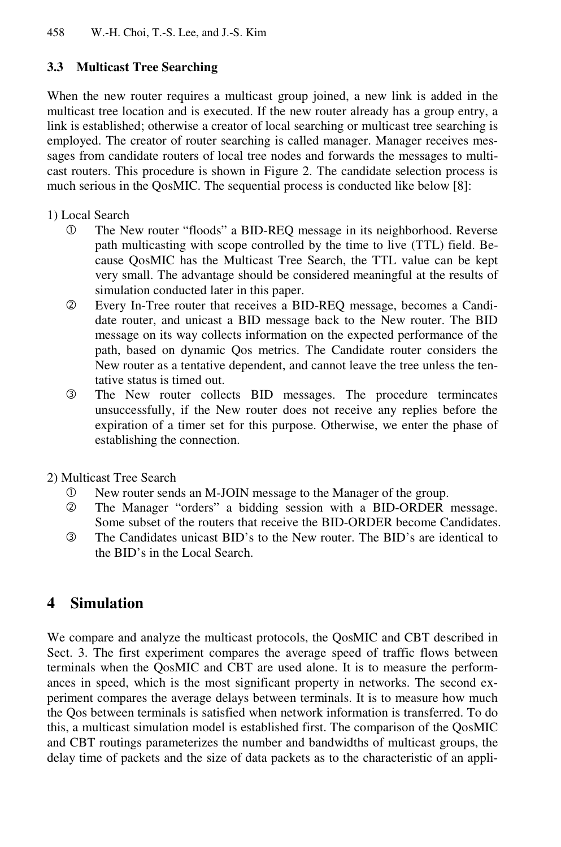### **3.3 Multicast Tree Searching**

When the new router requires a multicast group joined, a new link is added in the multicast tree location and is executed. If the new router already has a group entry, a link is established; otherwise a creator of local searching or multicast tree searching is employed. The creator of router searching is called manager. Manager receives messages from candidate routers of local tree nodes and forwards the messages to multicast routers. This procedure is shown in Figure 2. The candidate selection process is much serious in the QosMIC. The sequential process is conducted like below [8]:

- 1) Local Search
	- c The New router "floods" a BID-REQ message in its neighborhood. Reverse path multicasting with scope controlled by the time to live (TTL) field. Because QosMIC has the Multicast Tree Search, the TTL value can be kept very small. The advantage should be considered meaningful at the results of simulation conducted later in this paper.
	- d Every In-Tree router that receives a BID-REQ message, becomes a Candidate router, and unicast a BID message back to the New router. The BID message on its way collects information on the expected performance of the path, based on dynamic Qos metrics. The Candidate router considers the New router as a tentative dependent, and cannot leave the tree unless the tentative status is timed out.
	- e The New router collects BID messages. The procedure termincates unsuccessfully, if the New router does not receive any replies before the expiration of a timer set for this purpose. Otherwise, we enter the phase of establishing the connection.
- 2) Multicast Tree Search
	- <sup>1</sup> O New router sends an M-JOIN message to the Manager of the group.<br>
	<sup>1</sup> O The Manager "orders" a bidding session with a BID-ORDER
	- The Manager "orders" a bidding session with a BID-ORDER message. Some subset of the routers that receive the BID-ORDER become Candidates.
	- e The Candidates unicast BID's to the New router. The BID's are identical to the BID's in the Local Search.

## **4 Simulation**

We compare and analyze the multicast protocols, the QosMIC and CBT described in Sect. 3. The first experiment compares the average speed of traffic flows between terminals when the QosMIC and CBT are used alone. It is to measure the performances in speed, which is the most significant property in networks. The second experiment compares the average delays between terminals. It is to measure how much the Qos between terminals is satisfied when network information is transferred. To do this, a multicast simulation model is established first. The comparison of the QosMIC and CBT routings parameterizes the number and bandwidths of multicast groups, the delay time of packets and the size of data packets as to the characteristic of an appli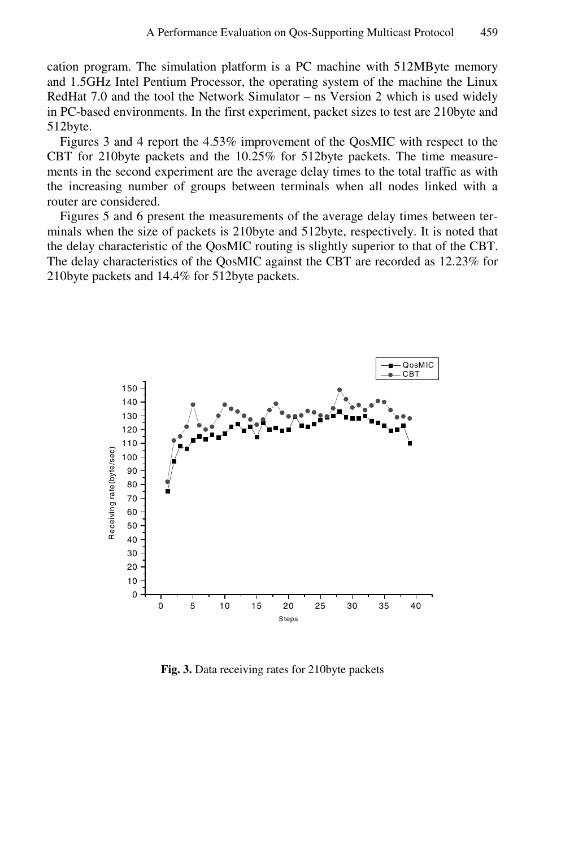cation program. The simulation platform is a PC machine with 512MByte memory and 1.5GHz Intel Pentium Processor, the operating system of the machine the Linux RedHat 7.0 and the tool the Network Simulator – ns Version 2 which is used widely in PC-based environments. In the first experiment, packet sizes to test are 210byte and 512byte.

Figures 3 and 4 report the 4.53% improvement of the QosMIC with respect to the CBT for 210byte packets and the 10.25% for 512byte packets. The time measurements in the second experiment are the average delay times to the total traffic as with the increasing number of groups between terminals when all nodes linked with a router are considered.

Figures 5 and 6 present the measurements of the average delay times between terminals when the size of packets is 210byte and 512byte, respectively. It is noted that the delay characteristic of the QosMIC routing is slightly superior to that of the CBT. The delay characteristics of the QosMIC against the CBT are recorded as 12.23% for 210byte packets and 14.4% for 512byte packets.



**Fig. 3.** Data receiving rates for 210byte packets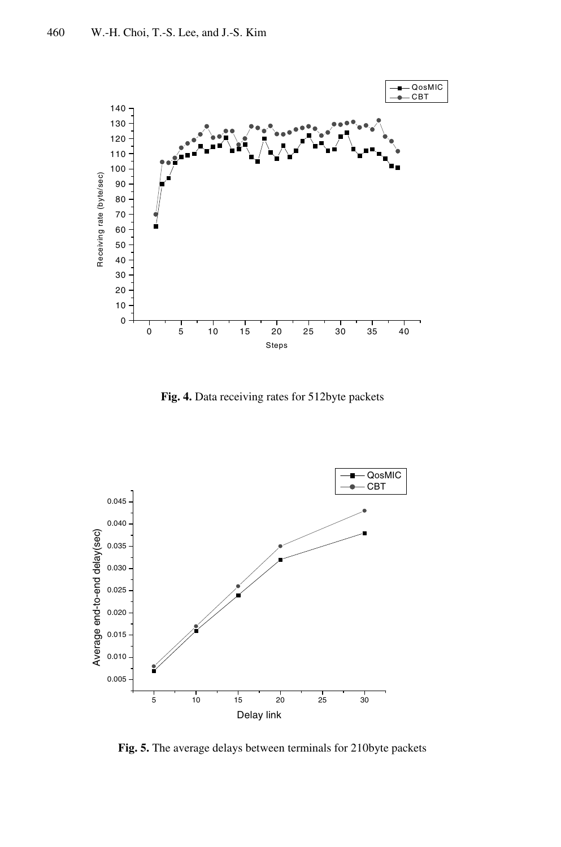

**Fig. 4.** Data receiving rates for 512byte packets



**Fig. 5.** The average delays between terminals for 210byte packets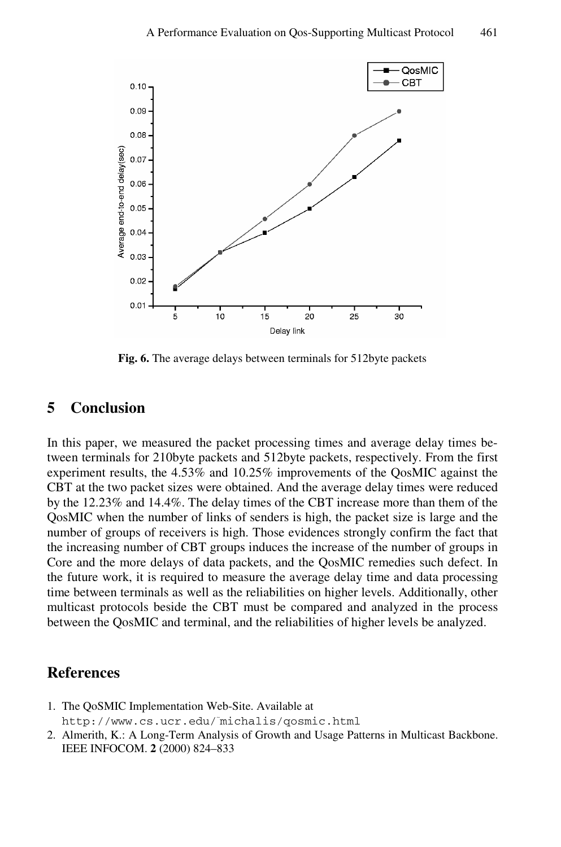

**Fig. 6.** The average delays between terminals for 512byte packets

## **5 Conclusion**

In this paper, we measured the packet processing times and average delay times between terminals for 210byte packets and 512byte packets, respectively. From the first experiment results, the 4.53% and 10.25% improvements of the QosMIC against the CBT at the two packet sizes were obtained. And the average delay times were reduced by the 12.23% and 14.4%. The delay times of the CBT increase more than them of the QosMIC when the number of links of senders is high, the packet size is large and the number of groups of receivers is high. Those evidences strongly confirm the fact that the increasing number of CBT groups induces the increase of the number of groups in Core and the more delays of data packets, and the QosMIC remedies such defect. In the future work, it is required to measure the average delay time and data processing time between terminals as well as the reliabilities on higher levels. Additionally, other multicast protocols beside the CBT must be compared and analyzed in the process between the QosMIC and terminal, and the reliabilities of higher levels be analyzed.

### **References**

- 1. The QoSMIC Implementation Web-Site. Available at http://www.cs.ucr.edu/<sup>∼</sup> michalis/qosmic.html
- 2. Almerith, K.: A Long-Term Analysis of Growth and Usage Patterns in Multicast Backbone. IEEE INFOCOM. **2** (2000) 824–833